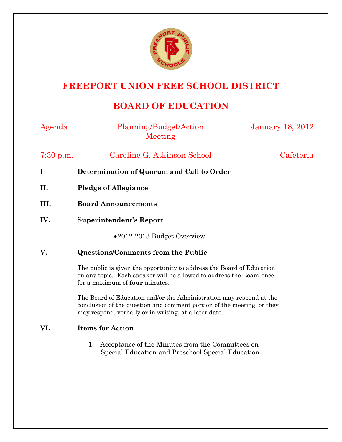

## **FREEPORT UNION FREE SCHOOL DISTRICT**

## **BOARD OF EDUCATION**

| Planning/Budget/Action<br>Meeting                                                                                                                                                                      | <b>January 18, 2012</b> |
|--------------------------------------------------------------------------------------------------------------------------------------------------------------------------------------------------------|-------------------------|
| Caroline G. Atkinson School                                                                                                                                                                            | Cafeteria               |
| Determination of Quorum and Call to Order                                                                                                                                                              |                         |
| <b>Pledge of Allegiance</b>                                                                                                                                                                            |                         |
| <b>Board Announcements</b>                                                                                                                                                                             |                         |
| <b>Superintendent's Report</b>                                                                                                                                                                         |                         |
| •2012-2013 Budget Overview                                                                                                                                                                             |                         |
| <b>Questions/Comments from the Public</b>                                                                                                                                                              |                         |
| The public is given the opportunity to address the Board of Education<br>on any topic. Each speaker will be allowed to address the Board once,<br>for a maximum of four minutes.                       |                         |
| The Board of Education and/or the Administration may respond at the<br>conclusion of the question and comment portion of the meeting, or they<br>may respond, verbally or in writing, at a later date. |                         |
| <b>Items for Action</b>                                                                                                                                                                                |                         |
| Acceptance of the Minutes from the Committees on<br>1.<br>Special Education and Preschool Special Education                                                                                            |                         |
|                                                                                                                                                                                                        |                         |